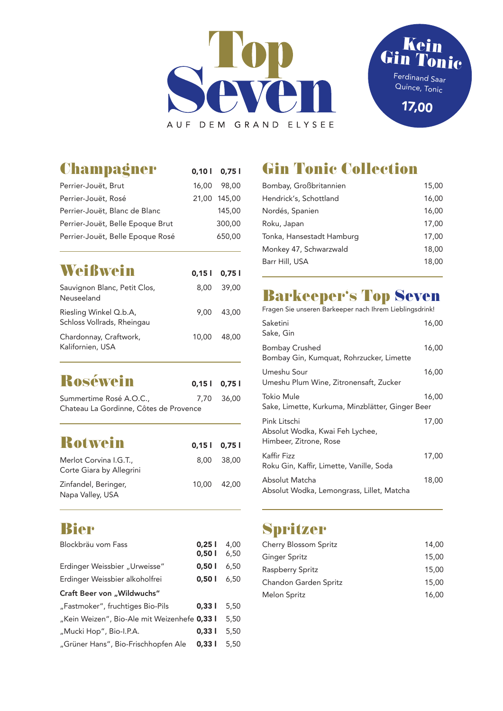



| <b>Champagner</b>                | 0,10   0,75  |
|----------------------------------|--------------|
| Perrier-Jouët, Brut              | 16,00 98,00  |
| Perrier-Jouët, Rosé              | 21,00 145,00 |
| Perrier-Jouët, Blanc de Blanc    | 145,00       |
| Perrier-Jouët, Belle Epoque Brut | 300,00       |
| Perrier-Jouët, Belle Epoque Rosé | 650,00       |
|                                  |              |

| $0.15$   $0.75$ |            |
|-----------------|------------|
|                 | 8.00 39.00 |
| 9.00            | 43.00      |
| 10.00           | 48.00      |
|                 |            |

| <b>Roséwein</b>                                                   | $0,15$   $0,75$ |
|-------------------------------------------------------------------|-----------------|
| Summertime Rosé A.O.C.,<br>Chateau La Gordinne, Côtes de Provence | 7.70 36.00      |
|                                                                   |                 |

| <b>Rotwein</b>                                    | $0,15$   $0,75$ |             |
|---------------------------------------------------|-----------------|-------------|
| Merlot Corvina I.G.T.<br>Corte Giara by Allegrini |                 | 8.00 38.00  |
| Zinfandel, Beringer,<br>Napa Valley, USA          |                 | 10.00 42.00 |

### **Bier**

| Blockbräu vom Fass                           | 0,251 | 4,00 |
|----------------------------------------------|-------|------|
|                                              | 0,501 | 6,50 |
| Erdinger Weissbier "Urweisse"                | 0,501 | 6,50 |
| Erdinger Weissbier alkoholfrei               | 0,501 | 6,50 |
| Craft Beer von "Wildwuchs"                   |       |      |
| "Fastmoker", fruchtiges Bio-Pils             | 0.331 | 5,50 |
| "Kein Weizen", Bio-Ale mit Weizenhefe 0,33 l |       | 5,50 |
| "Mucki Hop", Bio-I.P.A.                      | 0.331 | 5,50 |
| "Grüner Hans", Bio-Frischhopfen Ale          | 0,331 | 5,50 |
|                                              |       |      |

## **Gin Tonic Collection**

| Bombay, Großbritannien    | 15,00 |
|---------------------------|-------|
| Hendrick's, Schottland    | 16,00 |
| Nordés, Spanien           | 16,00 |
| Roku, Japan               | 17,00 |
| Tonka, Hansestadt Hamburg | 17,00 |
| Monkey 47, Schwarzwald    | 18,00 |
| Barr Hill, USA            | 18.00 |
|                           |       |

## **Barkeeper's Top Seven**

| Fragen Sie unseren Barkeeper nach Ihrem Lieblingsdrink!                   |       |
|---------------------------------------------------------------------------|-------|
| Saketini<br>Sake, Gin                                                     | 16,00 |
| <b>Bombay Crushed</b><br>Bombay Gin, Kumquat, Rohrzucker, Limette         | 16,00 |
| Umeshu Sour<br>Umeshu Plum Wine, Zitronensaft, Zucker                     | 16,00 |
| Tokio Mule<br>Sake, Limette, Kurkuma, Minzblätter, Ginger Beer            | 16,00 |
| Pink Litschi<br>Absolut Wodka, Kwai Feh Lychee,<br>Himbeer, Zitrone, Rose | 17,00 |
| Kaffir Fizz<br>Roku Gin, Kaffir, Limette, Vanille, Soda                   | 17,00 |
| Absolut Matcha                                                            | 18,00 |
| Absolut Wodka, Lemongrass, Lillet, Matcha                                 |       |

## **Spritzer**

| <b>Cherry Blossom Spritz</b> | 14.00 |
|------------------------------|-------|
| <b>Ginger Spritz</b>         | 15,00 |
| Raspberry Spritz             | 15.00 |
| Chandon Garden Spritz        | 15.00 |
| Melon Spritz                 | 16.00 |